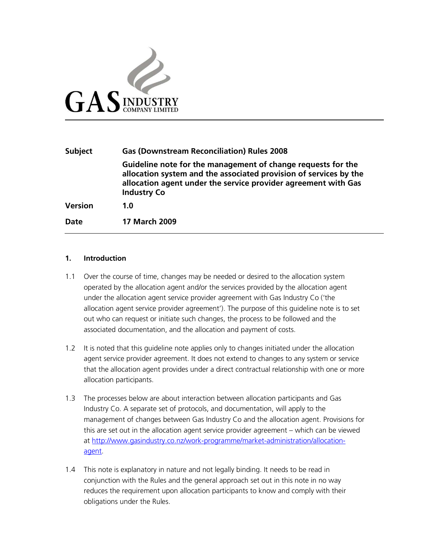

| <b>Subject</b> | <b>Gas (Downstream Reconciliation) Rules 2008</b>                                                                                                                                                                         |  |
|----------------|---------------------------------------------------------------------------------------------------------------------------------------------------------------------------------------------------------------------------|--|
|                | Guideline note for the management of change requests for the<br>allocation system and the associated provision of services by the<br>allocation agent under the service provider agreement with Gas<br><b>Industry Co</b> |  |
| <b>Version</b> | 1.0                                                                                                                                                                                                                       |  |
| <b>Date</b>    | <b>17 March 2009</b>                                                                                                                                                                                                      |  |

#### **1. Introduction**

- 1.1 Over the course of time, changes may be needed or desired to the allocation system operated by the allocation agent and/or the services provided by the allocation agent under the allocation agent service provider agreement with Gas Industry Co ('the allocation agent service provider agreement'). The purpose of this guideline note is to set out who can request or initiate such changes, the process to be followed and the associated documentation, and the allocation and payment of costs.
- 1.2 It is noted that this guideline note applies only to changes initiated under the allocation agent service provider agreement. It does not extend to changes to any system or service that the allocation agent provides under a direct contractual relationship with one or more allocation participants.
- 1.3 The processes below are about interaction between allocation participants and Gas Industry Co. A separate set of protocols, and documentation, will apply to the management of changes between Gas Industry Co and the allocation agent. Provisions for this are set out in the allocation agent service provider agreement – which can be viewed at http://www.gasindustry.co.nz/work-programme/market-administration/allocationagent.
- 1.4 This note is explanatory in nature and not legally binding. It needs to be read in conjunction with the Rules and the general approach set out in this note in no way reduces the requirement upon allocation participants to know and comply with their obligations under the Rules.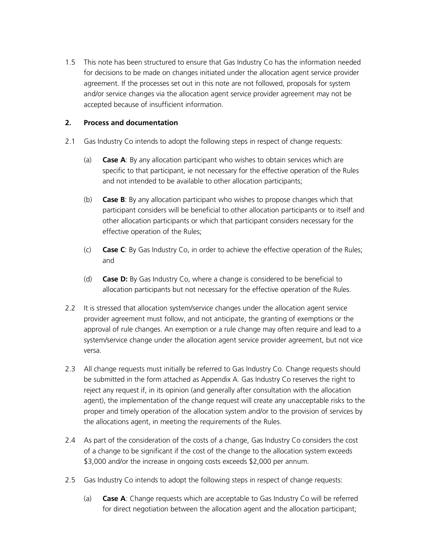1.5 This note has been structured to ensure that Gas Industry Co has the information needed for decisions to be made on changes initiated under the allocation agent service provider agreement. If the processes set out in this note are not followed, proposals for system and/or service changes via the allocation agent service provider agreement may not be accepted because of insufficient information.

## **2. Process and documentation**

- 2.1 Gas Industry Co intends to adopt the following steps in respect of change requests:
	- (a) **Case A**: By any allocation participant who wishes to obtain services which are specific to that participant, ie not necessary for the effective operation of the Rules and not intended to be available to other allocation participants;
	- (b) **Case B**: By any allocation participant who wishes to propose changes which that participant considers will be beneficial to other allocation participants or to itself and other allocation participants or which that participant considers necessary for the effective operation of the Rules;
	- (c) **Case C**: By Gas Industry Co, in order to achieve the effective operation of the Rules; and
	- (d) **Case D:** By Gas Industry Co, where a change is considered to be beneficial to allocation participants but not necessary for the effective operation of the Rules.
- 2.2 It is stressed that allocation system/service changes under the allocation agent service provider agreement must follow, and not anticipate, the granting of exemptions or the approval of rule changes. An exemption or a rule change may often require and lead to a system/service change under the allocation agent service provider agreement, but not vice versa.
- 2.3 All change requests must initially be referred to Gas Industry Co. Change requests should be submitted in the form attached as Appendix A. Gas Industry Co reserves the right to reject any request if, in its opinion (and generally after consultation with the allocation agent), the implementation of the change request will create any unacceptable risks to the proper and timely operation of the allocation system and/or to the provision of services by the allocations agent, in meeting the requirements of the Rules.
- 2.4 As part of the consideration of the costs of a change, Gas Industry Co considers the cost of a change to be significant if the cost of the change to the allocation system exceeds \$3,000 and/or the increase in ongoing costs exceeds \$2,000 per annum.
- 2.5 Gas Industry Co intends to adopt the following steps in respect of change requests:
	- (a) **Case A**: Change requests which are acceptable to Gas Industry Co will be referred for direct negotiation between the allocation agent and the allocation participant;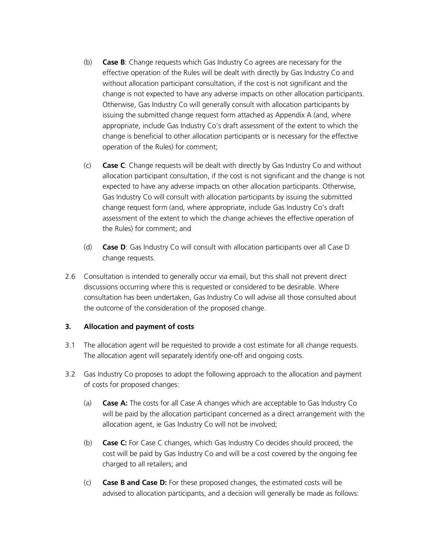- (b) **Case B**: Change requests which Gas Industry Co agrees are necessary for the effective operation of the Rules will be dealt with directly by Gas Industry Co and without allocation participant consultation, if the cost is not significant and the change is not expected to have any adverse impacts on other allocation participants. Otherwise, Gas Industry Co will generally consult with allocation participants by issuing the submitted change request form attached as Appendix A (and, where appropriate, include Gas Industry Co's draft assessment of the extent to which the change is beneficial to other allocation participants or is necessary for the effective operation of the Rules) for comment;
- (c) **Case C**: Change requests will be dealt with directly by Gas Industry Co and without allocation participant consultation, if the cost is not significant and the change is not expected to have any adverse impacts on other allocation participants. Otherwise, Gas Industry Co will consult with allocation participants by issuing the submitted change request form (and, where appropriate, include Gas Industry Co's draft assessment of the extent to which the change achieves the effective operation of the Rules) for comment; and
- (d) **Case D**: Gas Industry Co will consult with allocation participants over all Case D change requests.
- 2.6 Consultation is intended to generally occur via email, but this shall not prevent direct discussions occurring where this is requested or considered to be desirable. Where consultation has been undertaken, Gas Industry Co will advise all those consulted about the outcome of the consideration of the proposed change.

### **3. Allocation and payment of costs**

- 3.1 The allocation agent will be requested to provide a cost estimate for all change requests. The allocation agent will separately identify one-off and ongoing costs.
- 3.2 Gas Industry Co proposes to adopt the following approach to the allocation and payment of costs for proposed changes:
	- (a) **Case A:** The costs for all Case A changes which are acceptable to Gas Industry Co will be paid by the allocation participant concerned as a direct arrangement with the allocation agent, ie Gas Industry Co will not be involved;
	- (b) **Case C:** For Case C changes, which Gas Industry Co decides should proceed, the cost will be paid by Gas Industry Co and will be a cost covered by the ongoing fee charged to all retailers; and
	- (c) **Case B and Case D:** For these proposed changes, the estimated costs will be advised to allocation participants, and a decision will generally be made as follows: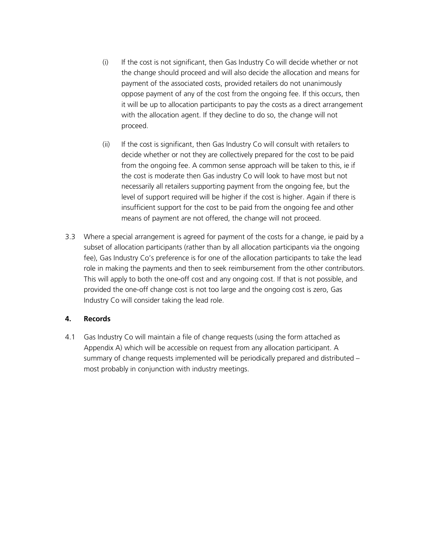- (i) If the cost is not significant, then Gas Industry Co will decide whether or not the change should proceed and will also decide the allocation and means for payment of the associated costs, provided retailers do not unanimously oppose payment of any of the cost from the ongoing fee. If this occurs, then it will be up to allocation participants to pay the costs as a direct arrangement with the allocation agent. If they decline to do so, the change will not proceed.
- (ii) If the cost is significant, then Gas Industry Co will consult with retailers to decide whether or not they are collectively prepared for the cost to be paid from the ongoing fee. A common sense approach will be taken to this, ie if the cost is moderate then Gas industry Co will look to have most but not necessarily all retailers supporting payment from the ongoing fee, but the level of support required will be higher if the cost is higher. Again if there is insufficient support for the cost to be paid from the ongoing fee and other means of payment are not offered, the change will not proceed.
- 3.3 Where a special arrangement is agreed for payment of the costs for a change, ie paid by a subset of allocation participants (rather than by all allocation participants via the ongoing fee), Gas Industry Co's preference is for one of the allocation participants to take the lead role in making the payments and then to seek reimbursement from the other contributors. This will apply to both the one-off cost and any ongoing cost. If that is not possible, and provided the one-off change cost is not too large and the ongoing cost is zero, Gas Industry Co will consider taking the lead role.

### **4. Records**

4.1 Gas Industry Co will maintain a file of change requests (using the form attached as Appendix A) which will be accessible on request from any allocation participant. A summary of change requests implemented will be periodically prepared and distributed – most probably in conjunction with industry meetings.